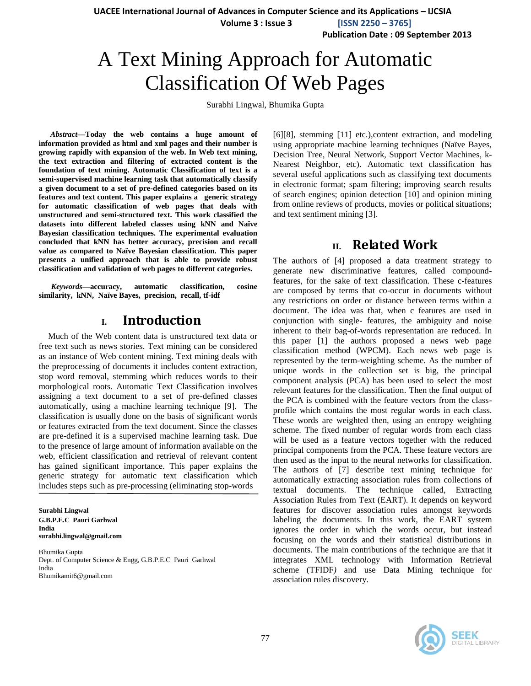**UACEE International Journal of Advances in Computer Science and its Applications – IJCSIA**

 **Volume 3 : Issue 3 [ISSN 2250 – 3765]**

**Publication Date : 09 September 2013**

# A Text Mining Approach for Automatic Classification Of Web Pages

Surabhi Lingwal, Bhumika Gupta

*Abstract***—Today the web contains a huge amount of information provided as html and xml pages and their number is growing rapidly with expansion of the web. In Web text mining, the text extraction and filtering of extracted content is the foundation of text mining. Automatic Classification of text is a semi-supervised machine learning task that automatically classify a given document to a set of pre-defined categories based on its features and text content. This paper explains a generic strategy for automatic classification of web pages that deals with unstructured and semi-structured text. This work classified the datasets into different labeled classes using kNN and Naïve Bayesian classification techniques. The experimental evaluation concluded that kNN has better accuracy, precision and recall value as compared to Naïve Bayesian classification. This paper presents a unified approach that is able to provide robust classification and validation of web pages to different categories.**

*Keywords—***accuracy, automatic classification, cosine similarity, kNN, Naïve Bayes, precision, recall, tf-idf**

# **I. Introduction**

Much of the Web content data is unstructured text data or free text such as news stories. Text mining can be considered as an instance of Web content mining. Text mining deals with the preprocessing of documents it includes content extraction, stop word removal, stemming which reduces words to their morphological roots. Automatic Text Classification involves assigning a text document to a set of pre-defined classes automatically, using a machine learning technique [9]. The classification is usually done on the basis of significant words or features extracted from the text document. Since the classes are pre-defined it is a supervised machine learning task. Due to the presence of large amount of information available on the web, efficient classification and retrieval of relevant content has gained significant importance. This paper explains the generic strategy for automatic text classification which includes steps such as pre-processing (eliminating stop-words

**Surabhi Lingwal G.B.P.E.C Pauri Garhwal India surabhi.lingwal@gmail.com**

Bhumika Gupta Dept. of Computer Science & Engg, G.B.P.E.C Pauri Garhwal India Bhumikamit6@gmail.com

[6][8], stemming [11] etc.),content extraction, and modeling using appropriate machine learning techniques (Naïve Bayes, Decision Tree, Neural Network, Support Vector Machines, k-Nearest Neighbor, etc). Automatic text classification has several useful applications such as classifying text documents in electronic format; spam filtering; improving search results of search engines; opinion detection [10] and opinion mining from online reviews of products, movies or political situations; and text sentiment mining [3].

# **II. Related Work**

The authors of [4] proposed a data treatment strategy to generate new discriminative features, called compoundfeatures, for the sake of text classification. These c-features are composed by terms that co-occur in documents without any restrictions on order or distance between terms within a document. The idea was that, when c features are used in conjunction with single- features, the ambiguity and noise inherent to their bag-of-words representation are reduced. In this paper [1] the authors proposed a news web page classification method (WPCM). Each news web page is represented by the term-weighting scheme. As the number of unique words in the collection set is big, the principal component analysis (PCA) has been used to select the most relevant features for the classification. Then the final output of the PCA is combined with the feature vectors from the classprofile which contains the most regular words in each class. These words are weighted then, using an entropy weighting scheme. The fixed number of regular words from each class will be used as a feature vectors together with the reduced principal components from the PCA. These feature vectors are then used as the input to the neural networks for classification. The authors of [7] describe text mining technique for automatically extracting association rules from collections of textual documents. The technique called, Extracting Association Rules from Text (EART). It depends on keyword features for discover association rules amongst keywords labeling the documents. In this work, the EART system ignores the order in which the words occur, but instead focusing on the words and their statistical distributions in documents. The main contributions of the technique are that it integrates XML technology with Information Retrieval scheme (TFIDF*)* and use Data Mining technique for association rules discovery.

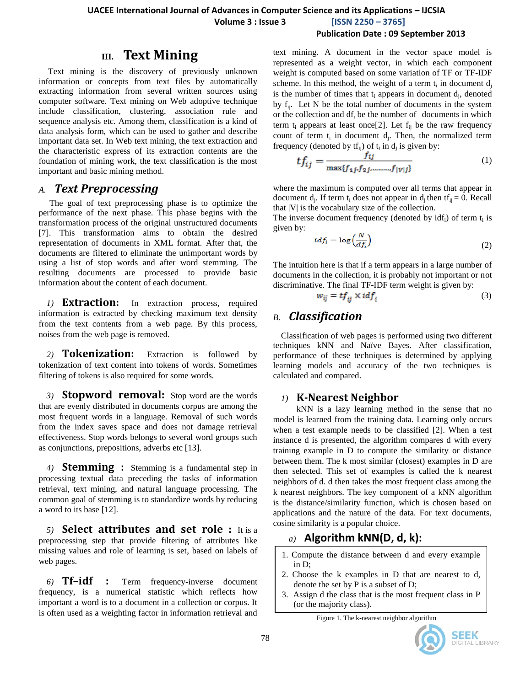# **III. Text Mining**

Text mining is the discovery of previously unknown information or concepts from text files by automatically extracting information from several written sources using computer software. Text mining on Web adoptive technique include classification, clustering, association rule and sequence analysis etc. Among them, classification is a kind of data analysis form, which can be used to gather and describe important data set. In Web text mining, the text extraction and the characteristic express of its extraction contents are the foundation of mining work, the text classification is the most important and basic mining method.

### *A. Text Preprocessing*

 The goal of text preprocessing phase is to optimize the performance of the next phase. This phase begins with the transformation process of the original unstructured documents [7]. This transformation aims to obtain the desired representation of documents in XML format. After that, the documents are filtered to eliminate the unimportant words by using a list of stop words and after word stemming. The resulting documents are processed to provide basic information about the content of each document.

*1)* **Extraction:** In extraction process, required information is extracted by checking maximum text density from the text contents from a web page. By this process, noises from the web page is removed.

*2)* **Tokenization:** Extraction is followed by tokenization of text content into tokens of words. Sometimes filtering of tokens is also required for some words.

*3)* **Stopword removal:** Stop word are the words that are evenly distributed in documents corpus are among the most frequent words in a language. Removal of such words from the index saves space and does not damage retrieval effectiveness. Stop words belongs to several word groups such as conjunctions, prepositions, adverbs etc [13].

*4)* **Stemming :** Stemming is a fundamental step in processing textual data preceding the tasks of information retrieval, text mining, and natural language processing. The common goal of stemming is to standardize words by reducing a word to its base [12].

*5)* **Select attributes and set role :** It is a preprocessing step that provide filtering of attributes like missing values and role of learning is set, based on labels of web pages.

*6)* **Tf–idf :** Term frequency-inverse document frequency, is a numerical statistic which reflects how important a word is to a document in a collection or corpus. It is often used as a weighting factor in information retrieval and text mining. A document in the vector space model is represented as a weight vector, in which each component weight is computed based on some variation of TF or TF-IDF scheme. In this method, the weight of a term  $t_i$  in document  $d_j$ is the number of times that  $t_i$  appears in document  $d_j$ , denoted by  $f_{ij}$ . Let N be the total number of documents in the system or the collection and  $df_i$  be the number of documents in which term  $t_i$  appears at least once[2]. Let  $f_{ii}$  be the raw frequency count of term  $t_i$  in document  $d_j$ . Then, the normalized term frequency (denoted by  $tf_{ij}$ ) of  $t_i$  in  $d_j$  is given by:

$$
tf_{ij} = \frac{f_{ij}}{\max\{f_{1j}, f_{2j}, \dots, f_{|V|j}\}}\tag{1}
$$

where the maximum is computed over all terms that appear in document  $d_j$ . If term  $t_i$  does not appear in  $d_j$  then  $tf_{ij} = 0$ . Recall that |V| is the vocabulary size of the collection.

The inverse document frequency (denoted by  $\text{id} f_i$ ) of term  $t_i$  is given by:

$$
i df_i = \log\left(\frac{N}{df_i}\right) \tag{2}
$$

The intuition here is that if a term appears in a large number of documents in the collection, it is probably not important or not discriminative. The final TF-IDF term weight is given by:

$$
w_{ij} = tf_{ij} \times idf_i \tag{3}
$$

### *B. Classification*

Classification of web pages is performed using two different techniques kNN and Naïve Bayes. After classification, performance of these techniques is determined by applying learning models and accuracy of the two techniques is calculated and compared.

### *1)* **K-Nearest Neighbor**

kNN is a lazy learning method in the sense that no model is learned from the training data. Learning only occurs when a test example needs to be classified [2]. When a test instance d is presented, the algorithm compares d with every training example in D to compute the similarity or distance between them. The k most similar (closest) examples in D are then selected. This set of examples is called the k nearest neighbors of d. d then takes the most frequent class among the k nearest neighbors. The key component of a kNN algorithm is the distance/similarity function, which is chosen based on applications and the nature of the data. For text documents, cosine similarity is a popular choice.

# *a)* **Algorithm kNN(D, d, k):**

- 1. Compute the distance between d and every example in D;
- 2. Choose the k examples in D that are nearest to d, denote the set by P is a subset of D;
- 3. Assign d the class that is the most frequent class in P (or the majority class).

Figure 1. The k-nearest neighbor algorithm



 $\overline{\phantom{a}}$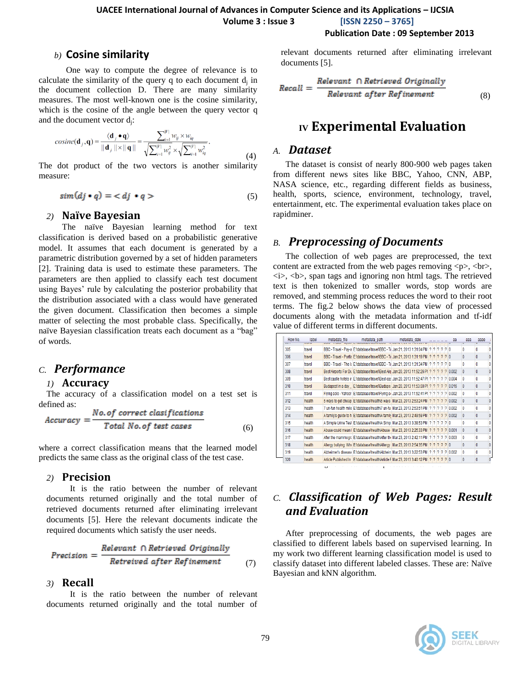### **UACEE International Journal of Advances in Computer Science and its Applications – IJCSIA Volume 3 : Issue 3 [ISSN 2250 – 3765]**

**Publication Date : 09 September 2013**

#### *b)* **Cosine similarity**

One way to compute the degree of relevance is to calculate the similarity of the query q to each document  $d_j$  in the document collection D. There are many similarity measures. The most well-known one is the cosine similarity, which is the cosine of the angle between the query vector q and the document vector d<sub>j</sub>:

$$
cosine(\mathbf{d}_{j}, \mathbf{q}) = \frac{\langle \mathbf{d}_{j} \bullet \mathbf{q} \rangle}{\|\mathbf{d}_{j}\| \times \|\mathbf{q}\|} = \frac{\sum_{i=1}^{|\mathcal{V}|} w_{ij} \times w_{iq}}{\sqrt{\sum_{i=1}^{|\mathcal{V}|} w_{ij}^{2}} \times \sqrt{\sum_{i=1}^{|\mathcal{V}|} w_{iq}^{2}}}.
$$
\n(4)

The dot product of the two vectors is another similarity measure:

$$
sim(dj \bullet q) = \langle dj \bullet q \rangle \tag{5}
$$

#### *2)* **Naïve Bayesian**

The naïve Bayesian learning method for text classification is derived based on a probabilistic generative model. It assumes that each document is generated by a parametric distribution governed by a set of hidden parameters [2]. Training data is used to estimate these parameters. The parameters are then applied to classify each test document using Bayes' rule by calculating the posterior probability that the distribution associated with a class would have generated the given document. Classification then becomes a simple matter of selecting the most probable class. Specifically, the naïve Bayesian classification treats each document as a "bag" of words.

### *C. Performance*

#### *1)* **Accuracy**

The accuracy of a classification model on a test set is defined as:

$$
Accuracy = \frac{No. of correct classifications}{Total No. of test cases}
$$
 (6)

where a correct classification means that the learned model predicts the same class as the original class of the test case.

#### *2)* **Precision**

It is the ratio between the number of relevant documents returned originally and the total number of retrieved documents returned after eliminating irrelevant documents [5]. Here the relevant documents indicate the required documents which satisfy the user needs.

$$
Precision = \frac{Relevant \cap Retrieved \ Originally}{Retreived \ after \ Refinement} \tag{7}
$$

#### *3)* **Recall**

It is the ratio between the number of relevant documents returned originally and the total number of relevant documents returned after eliminating irrelevant documents [5].

$$
Recall = \frac{Relevant \cap Retrieved \text{ Originally}}{Relevant \text{ after Refinement}}
$$
(8)

# **IV Experimental Evaluation**

#### *A. Dataset*

The dataset is consist of nearly 800-900 web pages taken from different news sites like BBC, Yahoo, CNN, ABP, NASA science, etc., regarding different fields as business, health, sports, science, environment, technology, travel, entertainment, etc. The experimental evaluation takes place on rapidminer.

### *B. Preprocessing of Documents*

The collection of web pages are preprocessed, the text content are extracted from the web pages removing  $\langle p \rangle$ ,  $\langle br \rangle$ ,  $\langle i \rangle$ ,  $\langle b \rangle$ , span tags and ignoring non html tags. The retrieved text is then tokenized to smaller words, stop words are removed, and stemming process reduces the word to their root terms. The fig.2 below shows the data view of processed documents along with the metadata information and tf-idf value of different terms in different documents.

| Row No.<br>uu i | label<br><b>WMENT</b> | metadata file | metadata_path                                                                                         | metadata_date |  |  | aa | aaa          | aaae         |
|-----------------|-----------------------|---------------|-------------------------------------------------------------------------------------------------------|---------------|--|--|----|--------------|--------------|
| 305             | travel                |               | BBC - Travel - Pav-al E:\database\travel\BBC - TillJan 21, 2013 1:31:04 PM   ?   ?   ?   ?   ?   0    |               |  |  |    | 0            | n            |
| 306             | travel                |               | BBC - Travel - Portial E:\database\travel\BBC - Till Jan 21, 2013 1:31:19 PM   ?   ?   ?   ?   ?   0  |               |  |  |    | 0            | 0            |
| 307             | travel                |               | BBC - Travel - The I: E:\database\travel\BBC - Ti Jan 21, 2013 1:31:34 PM ? ? ? ? ? ? 0               |               |  |  |    | 0            | Ō            |
| 308             | travel                |               | Best Airports For Du E:\database\travel\Best Air(Jan 20, 2013 11:52:26 PI ? ? ? ? ? 0.002             |               |  |  |    | $\Omega$     | 0            |
| 309             | travel                |               | Best castle hotels ir E:\database\trave\\Best cas Jan 20, 2013 11:52:47 PI ?   ?   ?   ?   ?   0,004  |               |  |  |    | 0            | Ō            |
| 310             | travel                |               | Budapest in a day E:\database\travel\Budape Jan 20, 2013 11:53:00 PI ? ? ? ? ? 0.016                  |               |  |  |    | $\Omega$     | 0            |
| 311             | travel                |               | Flying solo - Yahoo! E:\database\travel\Flying si Jan 20, 2013 11:52:41 Pl ? ? ? ? ? ? 0.002          |               |  |  |    | 0            | Ō            |
| 312             | health                |               | 5 ways to get cheap E:\database\health\5 ways   Mar 23, 2013 2:53:24 PM   ?   ?   ?   ?   0.002       |               |  |  |    | $\mathbf{0}$ | 0            |
| 313             | health                |               | 7 un-fun health mile E:\database\health\7 un-fu   Mar 23, 2013 2:53:51 PM   ?   ?   ?   ?   ?   0.002 |               |  |  |    | 0            | Ō            |
| 314             | health                |               | A family's quide to h E:\database\health\A family Mar 23, 2013 2:49:59 PM   ?   ?   ?   ?   ?   0.002 |               |  |  |    | $\Omega$     | $\mathbf{0}$ |
| 315             | health                |               | A Simple Urine Test E:\database\health\A Simp Mar 23, 2013 3:38:53 PM   ?   ?   ?   ?   ?   0         |               |  |  |    | 0            | 0            |
| 316             | health                |               | Abuse could mean I E:\database\health\Abuse Mar 23, 2013 2:25:33 PM   ?   ?   ?   ?   0.001           |               |  |  |    | 0            | $\mathbf{0}$ |
| 317             | health                |               | After the mammogra E:\database\health\After the Mar 23, 2013 2:42:11 PM   ?   ?   ?   ?   ?   0.003   |               |  |  |    | 0            | Ō            |
| 318             | health                |               | Allergy bullying Whe ENdatabaseVhealthVAllergy   Mar 23, 2013 2:54:35 PM   ?   ?   ?   ?   0          |               |  |  |    | 0            | 0            |
| 319             | health                |               | Alzheimer's disease E:\database\health\Alzhein Mar 23, 2013 3:22:53 PM   ?   ?   ?   ?   0.002        |               |  |  |    | 0            | 0            |
| 320             | health                |               | Article Published In E:\database\health\Article F Mar 23, 2013 3:40:12 PM 2 2 2 2 2 0                 |               |  |  |    | 0            | $\mathbf{0}$ |

# *C. Classification of Web Pages: Result and Evaluation*

After preprocessing of documents, the web pages are classified to different labels based on supervised learning. In my work two different learning classification model is used to classify dataset into different labeled classes. These are: Naïve Bayesian and kNN algorithm.

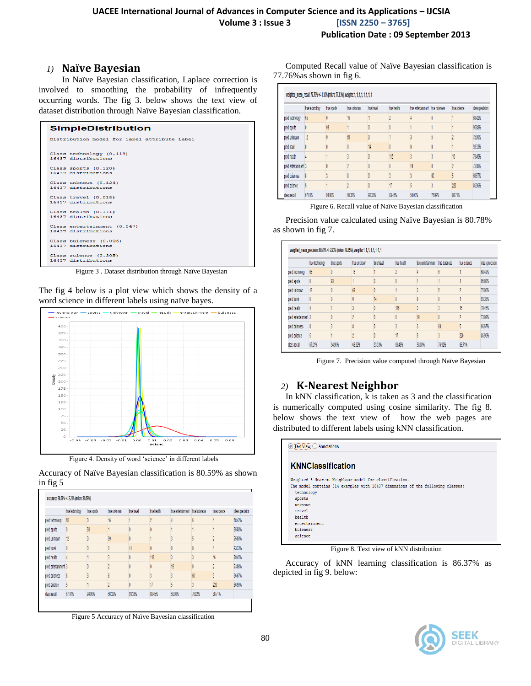### *1)* **Naïve Bayesian**

In Naïve Bayesian classification, Laplace correction is involved to smoothing the probability of infrequently occurring words. The fig 3. below shows the text view of dataset distribution through Naïve Bayesian classification.

| <b>SimpleDistribution</b>                       |  |
|-------------------------------------------------|--|
| Distribution model for label attribute label    |  |
| Class technology (0.119)<br>16437 distributions |  |
| Class sports (0.120)                            |  |
| 16437 distributions                             |  |
| Class unknown (0.124)                           |  |
| 16437 distributions                             |  |
| Class travel (0.018)                            |  |
| 16437 distributions                             |  |
| Class health (0.171)                            |  |
| 16437 distributions                             |  |
| Class entertainment (0.047)                     |  |
| 16437 distributions                             |  |
| Class buisness (0.096)                          |  |
| 16437 distributions                             |  |
| Class science (0.305)                           |  |
| 16437 distributions                             |  |

Figure 3 . Dataset distribution through Naïve Bayesian

The fig 4 below is a plot view which shows the density of a word science in different labels using naïve bayes.



Figure 4. Density of word 'science' in different labels

Accuracy of Naïve Bayesian classification is 80.59% as shown in fig 5

|                      | true technology | true sports | true unknown | true travel   | true health    | true entertainment true buisness |                 | true science   | class precision |
|----------------------|-----------------|-------------|--------------|---------------|----------------|----------------------------------|-----------------|----------------|-----------------|
| pred.technology      | 65              | 0           | 16           |               | n              |                                  | $6\overline{6}$ |                | 68.42%          |
| pred. sports         | O               | 93          |              |               |                |                                  |                 |                | 95.88%          |
| pred. unknown        | 12              | 0           | 69           | 0             |                |                                  | 5               | ŋ              | 75,00%          |
| pred.travel          |                 |             |              | $\frac{1}{4}$ | O              |                                  | 0               |                | 93.33%          |
| pred.health          |                 |             |              |               | 116            |                                  |                 | 16             | 79.45%          |
| pred.entertainment 3 |                 |             | A            |               | 0              | 19                               | 0               | $\overline{2}$ | 73.08%          |
| pred. buisness       | 8               |             | g            |               | 3              | ۸                                | 60              | 5              | 66.67%          |
| pred science         | 5               |             | ŋ            |               | $\overline{1}$ | 5                                | 3               | 220            | 86.96%          |
| class recall         | 67.01%          | 94.90%      | 68.32%       | 93.33%        | 83.45%         | 50,00%                           | 76.92%          | 88.71%         |                 |

Figure 5 Accuracy of Naïve Bayesian classification

Computed Recall value of Naïve Bayesian classification is 77.76%as shown in fig 6.

|                      | true technology | true sports | true unknown | true travel | true health    | true entertainment true buisness |        | true science | class precision |
|----------------------|-----------------|-------------|--------------|-------------|----------------|----------------------------------|--------|--------------|-----------------|
| pred. technology     | 65              |             | 16           |             |                |                                  |        |              | 68.42%          |
| pred. sports         |                 | 93          |              |             |                |                                  |        |              | 95.88%          |
| pred.unknown         | 12              |             | 69           |             |                |                                  |        |              | 75,00%          |
| pred. travel         |                 |             |              | 14          |                |                                  |        |              | 933%            |
| pred health          |                 |             |              |             | 116            |                                  |        | 16           | 79.45%          |
| pred.entertainment 3 |                 |             |              |             |                | 19                               |        |              | 73.08%          |
| pred. buisness       |                 |             | g            |             |                |                                  | 60     |              | 66.67%          |
| pred science         | 5               |             |              |             | $\overline{1}$ |                                  |        | 220          | 86,96%          |
| dass recall          | 67.01%          | 94.90%      | 68.32%       | 93.33%      | 83.45%         | 50.00%                           | 76.92% | 88.71%       |                 |

Figure 6. Recall value of Naïve Bayesian classification

Precision value calculated using Naïve Bayesian is 80.78% as shown in fig 7.

|                      | true technology | true sports | true unknown | true travel | true health    | true entertainment true buisness |        | true science | class precision |
|----------------------|-----------------|-------------|--------------|-------------|----------------|----------------------------------|--------|--------------|-----------------|
| pred.technology      | 65              |             | 16           |             |                |                                  |        |              | 68.42%          |
| pred. sports         |                 | 93          |              |             |                |                                  |        |              | 95.88%          |
| pred. unknown        | 12              |             | $\omega$     |             |                |                                  |        |              | 75,00%          |
| pred. travel         |                 |             |              | 14          |                |                                  |        |              | 93.33%          |
| pred.health          |                 |             |              |             | 116            |                                  |        | 16           | 79.45%          |
| pred.entertainment 3 |                 |             |              |             |                | 19                               |        |              | 73.08%          |
| ored buisness        | 8               |             |              |             |                |                                  | 60     |              | 66.67%          |
| pred science         | 5               |             |              |             | $\overline{1}$ |                                  | 3      | 220          | 86.96%          |
| class recall         | 67.01%          | 94.90%      | 68.32%       | 93.33%      | 83.45%         | 50.00%                           | 76.92% | 88.71%       |                 |

Figure 7. Precision value computed through Naïve Bayesian

## *2)* **K-Nearest Neighbor**

In kNN classification, k is taken as 3 and the classification is numerically computed using cosine similarity. The fig 8. below shows the text view of how the web pages are distributed to different labels using kNN classification.

| $\overline{\text{Text View}}$<br>Annotations                                    |
|---------------------------------------------------------------------------------|
| <b>KNNClassification</b>                                                        |
| Weighted 3-Nearest Neighbour model for classification.                          |
| The model contains 814 examples with 16437 dimensions of the following classes: |
| technology                                                                      |
| sports                                                                          |
| unknown                                                                         |
| travel                                                                          |
| health                                                                          |
| entertainment                                                                   |
| buisness                                                                        |
| science                                                                         |
|                                                                                 |

Figure 8. Text view of kNN distribution

Accuracy of kNN learning classification is 86.37% as depicted in fig 9. below: